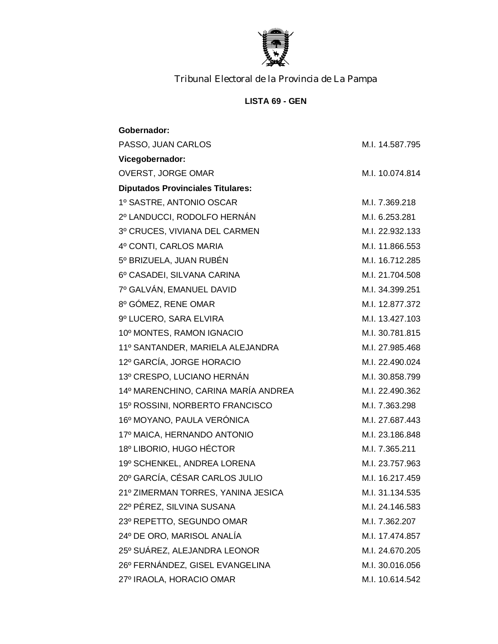

## **LISTA 69 - GEN**

| Gobernador:                              |                 |
|------------------------------------------|-----------------|
| PASSO, JUAN CARLOS                       | M.I. 14.587.795 |
| Vicegobernador:                          |                 |
| OVERST, JORGE OMAR                       | M.I. 10.074.814 |
| <b>Diputados Provinciales Titulares:</b> |                 |
| 1º SASTRE, ANTONIO OSCAR                 | M.I. 7.369.218  |
| 2º LANDUCCI, RODOLFO HERNÁN              | M.I. 6.253.281  |
| 3º CRUCES, VIVIANA DEL CARMEN            | M.I. 22.932.133 |
| 4º CONTI, CARLOS MARIA                   | M.I. 11.866.553 |
| 5º BRIZUELA, JUAN RUBÉN                  | M.I. 16.712.285 |
| 6º CASADEI, SILVANA CARINA               | M.I. 21.704.508 |
| 7º GALVÁN, EMANUEL DAVID                 | M.I. 34.399.251 |
| 8º GÓMEZ, RENE OMAR                      | M.I. 12.877.372 |
| 9º LUCERO, SARA ELVIRA                   | M.I. 13.427.103 |
| 10º MONTES, RAMON IGNACIO                | M.I. 30.781.815 |
| 11º SANTANDER, MARIELA ALEJANDRA         | M.I. 27.985.468 |
| 12º GARCÍA, JORGE HORACIO                | M.I. 22.490.024 |
| 13º CRESPO, LUCIANO HERNÁN               | M.I. 30.858.799 |
| 14º MARENCHINO, CARINA MARÍA ANDREA      | M.I. 22.490.362 |
| 15º ROSSINI, NORBERTO FRANCISCO          | M.I. 7.363.298  |
| 16º MOYANO, PAULA VERÓNICA               | M.I. 27.687.443 |
| 17º MAICA, HERNANDO ANTONIO              | M.I. 23.186.848 |
| 18º LIBORIO, HUGO HÉCTOR                 | M.I. 7.365.211  |
| 19º SCHENKEL, ANDREA LORENA              | M.I. 23.757.963 |
| 20° GARCÍA, CÉSAR CARLOS JULIO           | M.I. 16.217.459 |
| 21º ZIMERMAN TORRES, YANINA JESICA       | M.I. 31.134.535 |
| 22º PÉREZ, SILVINA SUSANA                | M.I. 24.146.583 |
| 23º REPETTO, SEGUNDO OMAR                | M.I. 7.362.207  |
| 24º DE ORO, MARISOL ANALÍA               | M.I. 17.474.857 |
| 25° SUÁREZ, ALEJANDRA LEONOR             | M.I. 24.670.205 |
| 26º FERNÁNDEZ, GISEL EVANGELINA          | M.I. 30.016.056 |
| 27º IRAOLA, HORACIO OMAR                 | M.I. 10.614.542 |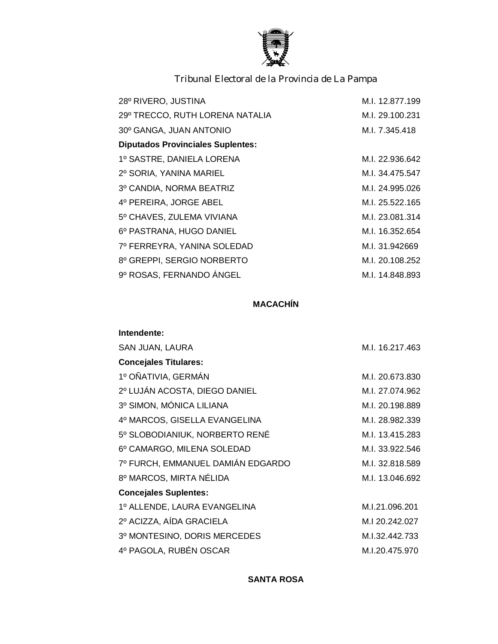

| 28º RIVERO, JUSTINA                      | M.I. 12.877.199 |
|------------------------------------------|-----------------|
| 29º TRECCO, RUTH LORENA NATALIA          | M.I. 29.100.231 |
| 30° GANGA, JUAN ANTONIO                  | M.I. 7.345.418  |
| <b>Diputados Provinciales Suplentes:</b> |                 |
| 1º SASTRE, DANIELA LORENA                | M.I. 22.936.642 |
| 2º SORIA, YANINA MARIEL                  | M.I. 34.475.547 |
| 3º CANDIA, NORMA BEATRIZ                 | M.I. 24.995.026 |
| 4º PEREIRA, JORGE ABEL                   | M.I. 25.522.165 |
| 5º CHAVES, ZULEMA VIVIANA                | M.I. 23.081.314 |
| 6º PASTRANA, HUGO DANIEL                 | M.I. 16.352.654 |
| 7º FERREYRA, YANINA SOLEDAD              | M.I. 31.942669  |
| 8º GREPPI, SERGIO NORBERTO               | M.I. 20.108.252 |
| 9º ROSAS, FERNANDO ÁNGEL                 | M.I. 14.848.893 |
|                                          |                 |

## **MACACHÍN**

| Intendente:                       |                 |
|-----------------------------------|-----------------|
| SAN JUAN, LAURA                   | M.I. 16.217.463 |
| <b>Concejales Titulares:</b>      |                 |
| 1º OÑATIVIA, GERMÁN               | M.I. 20.673.830 |
| 2º LUJÁN ACOSTA, DIEGO DANIEL     | M.I. 27.074.962 |
| 3º SIMON, MÓNICA LILIANA          | M.I. 20.198.889 |
| 4º MARCOS, GISELLA EVANGELINA     | M.I. 28.982.339 |
| 5º SLOBODIANIUK, NORBERTO RENÉ    | M.I. 13.415.283 |
| 6º CAMARGO, MILENA SOLEDAD        | M.I. 33.922.546 |
| 7º FURCH, EMMANUEL DAMIÁN EDGARDO | M.I. 32.818.589 |
| 8º MARCOS, MIRTA NÉLIDA           | M.I. 13.046.692 |
| <b>Concejales Suplentes:</b>      |                 |
| 1º ALLENDE, LAURA EVANGELINA      | M.I.21.096.201  |
| 2º ACIZZA, AÍDA GRACIELA          | M.I 20.242.027  |
| 3º MONTESINO, DORIS MERCEDES      | M.I.32.442.733  |
| 4º PAGOLA, RUBÉN OSCAR            | M.I.20.475.970  |

**SANTA ROSA**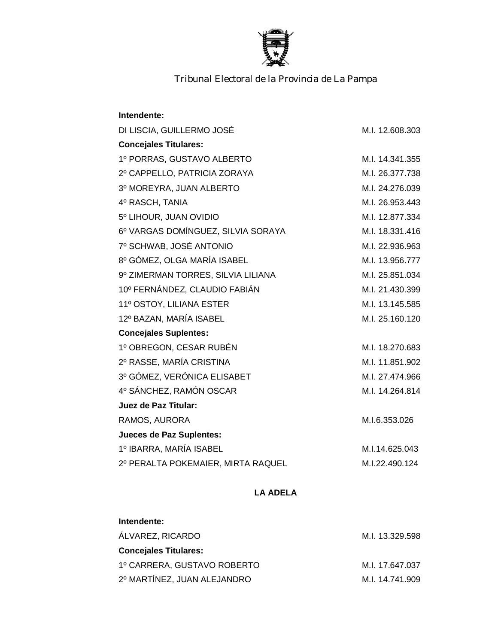

| Intendente:                        |                 |
|------------------------------------|-----------------|
| DI LISCIA, GUILLERMO JOSÉ          | M.I. 12.608.303 |
| <b>Concejales Titulares:</b>       |                 |
| 1º PORRAS, GUSTAVO ALBERTO         | M.I. 14.341.355 |
| 2º CAPPELLO, PATRICIA ZORAYA       | M.I. 26.377.738 |
| 3º MOREYRA, JUAN ALBERTO           | M.I. 24.276.039 |
| 4º RASCH, TANIA                    | M.I. 26.953.443 |
| 5º LIHOUR, JUAN OVIDIO             | M.I. 12.877.334 |
| 6º VARGAS DOMÍNGUEZ, SILVIA SORAYA | M.I. 18.331.416 |
| 7º SCHWAB, JOSÉ ANTONIO            | M.I. 22.936.963 |
| 8º GÓMEZ, OLGA MARÍA ISABEL        | M.I. 13.956.777 |
| 9º ZIMERMAN TORRES, SILVIA LILIANA | M.I. 25.851.034 |
| 10º FERNÁNDEZ, CLAUDIO FABIÁN      | M.I. 21.430.399 |
| 11º OSTOY, LILIANA ESTER           | M.I. 13.145.585 |
| 12º BAZAN, MARÍA ISABEL            | M.I. 25.160.120 |
| <b>Concejales Suplentes:</b>       |                 |
| 1º OBREGON, CESAR RUBÉN            | M.I. 18.270.683 |
| 2º RASSE, MARÍA CRISTINA           | M.I. 11.851.902 |
| 3º GÓMEZ, VERÓNICA ELISABET        | M.I. 27.474.966 |
| 4º SÁNCHEZ, RAMÓN OSCAR            | M.I. 14.264.814 |
| Juez de Paz Titular:               |                 |
| RAMOS, AURORA                      | M.I.6.353.026   |
| <b>Jueces de Paz Suplentes:</b>    |                 |
| 1º IBARRA, MARÍA ISABEL            | M.I.14.625.043  |
| 2º PERALTA POKEMAIER, MIRTA RAQUEL | M.I.22.490.124  |

**LA ADELA**

## **Intendente:**

| ÁLVAREZ, RICARDO             | M.I. 13.329.598 |
|------------------------------|-----------------|
| <b>Concejales Titulares:</b> |                 |
| 1º CARRERA, GUSTAVO ROBERTO  | M.I. 17.647.037 |
| 2º MARTÍNEZ, JUAN ALEJANDRO  | M.I. 14.741.909 |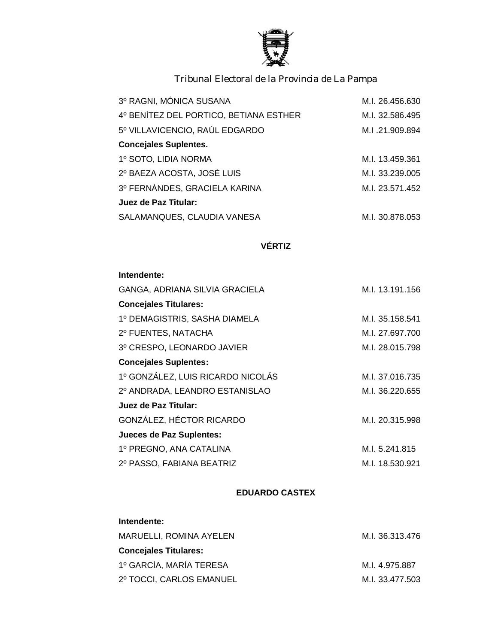

| 3º RAGNI, MÓNICA SUSANA                | M.I. 26.456.630 |
|----------------------------------------|-----------------|
| 4º BENÍTEZ DEL PORTICO, BETIANA ESTHER | M.I. 32.586.495 |
| 5º VILLAVICENCIO, RAÚL EDGARDO         | M.I.21.909.894  |
| <b>Concejales Suplentes.</b>           |                 |
| 1º SOTO, LIDIA NORMA                   | M.I. 13.459.361 |
| 2º BAEZA ACOSTA, JOSÉ LUIS             | M.I. 33.239.005 |
| 3º FERNÁNDES, GRACIELA KARINA          | M.I. 23.571.452 |
| Juez de Paz Titular:                   |                 |
| SALAMANQUES, CLAUDIA VANESA            | M.I. 30.878.053 |
|                                        |                 |

## **VÉRTIZ**

| Intendente:                       |                 |
|-----------------------------------|-----------------|
| GANGA, ADRIANA SILVIA GRACIELA    | M.I. 13.191.156 |
| <b>Concejales Titulares:</b>      |                 |
| 1º DEMAGISTRIS, SASHA DIAMELA     | M.I. 35.158.541 |
| 2º FUENTES, NATACHA               | M.I. 27.697.700 |
| 3º CRESPO, LEONARDO JAVIER        | M.I. 28.015.798 |
| <b>Concejales Suplentes:</b>      |                 |
| 1º GONZÁLEZ, LUIS RICARDO NICOLÁS | M.I. 37.016.735 |
| 2º ANDRADA, LEANDRO ESTANISLAO    | M.I. 36.220.655 |
| Juez de Paz Titular:              |                 |
| GONZÁLEZ, HÉCTOR RICARDO          | M.I. 20.315.998 |
| Jueces de Paz Suplentes:          |                 |
| 1º PREGNO, ANA CATALINA           | M.I. 5.241.815  |
| 2º PASSO, FABIANA BEATRIZ         | M.I. 18.530.921 |

### **EDUARDO CASTEX**

## **Intendente:**

| MARUELLI, ROMINA AYELEN  | M.I. 36.313.476 |
|--------------------------|-----------------|
| Concejales Titulares:    |                 |
| 1º GARCÍA, MARÍA TERESA  | M.I. 4.975.887  |
| 2º TOCCI, CARLOS EMANUEL | M.I. 33.477.503 |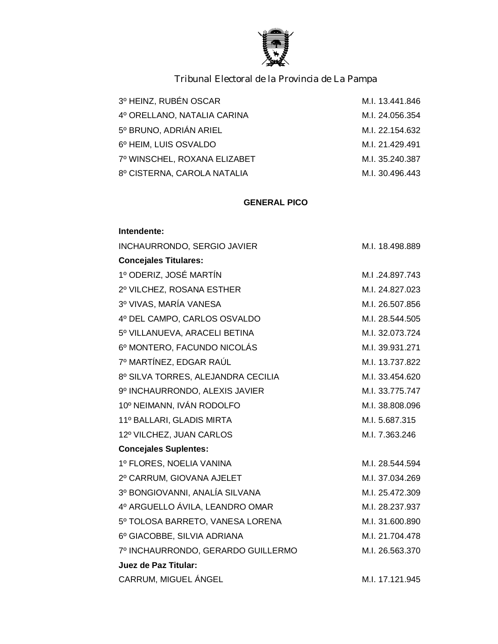

| 3º HEINZ, RUBÉN OSCAR        | M.I. 13.441.846 |
|------------------------------|-----------------|
| 4º ORELLANO, NATALIA CARINA  | M.I. 24.056.354 |
| 5º BRUNO, ADRIÁN ARIEL       | M.I. 22.154.632 |
| 6º HEIM, LUIS OSVALDO        | M.I. 21.429.491 |
| 7º WINSCHEL, ROXANA ELIZABET | M.I. 35.240.387 |
| 8º CISTERNA, CAROLA NATALIA  | M.I. 30.496.443 |

#### **GENERAL PICO**

# **Intendente:** INCHAURRONDO, SERGIO JAVIER M.I. 18.498.889 **Concejales Titulares:** 1º ODERIZ, JOSÉ MARTÍN M.I .24.897.743 2º VILCHEZ, ROSANA ESTHER M.I. 24.827.023 3º VIVAS, MARÍA VANESA M.I. 26.507.856 4º DEL CAMPO, CARLOS OSVALDO M.I. 28.544.505 5º VILLANUEVA, ARACELI BETINA M.I. 32.073.724 6º MONTERO, FACUNDO NICOLÁS M.I. 39.931.271 7º MARTÍNEZ, EDGAR RAÚL M.I. 13.737.822 8º SILVA TORRES, ALEJANDRA CECILIA M.I. 33.454.620 9º INCHAURRONDO, ALEXIS JAVIER M.I. 33.775.747 10º NEIMANN, IVÁN RODOLFO M.I. 38.808.096 11º BALLARI, GLADIS MIRTA M.I. 5.687.315 12º VILCHEZ, JUAN CARLOS M.I. 7.363.246 **Concejales Suplentes:** 1º FLORES, NOELIA VANINA MEDICINES EN 1988-1994 M.I. 28.544.594 2º CARRUM, GIOVANA AJELET M.I. 37.034.269 3º BONGIOVANNI, ANALÍA SILVANA M.I. 25.472.309 4º ARGUELLO ÁVILA, LEANDRO OMAR M.I. 28.237.937 5º TOLOSA BARRETO, VANESA LORENA M.I. 31.600.890 6º GIACOBBE, SILVIA ADRIANA M.I. 21.704.478 7º INCHAURRONDO, GERARDO GUILLERMO M.I. 26.563.370 **Juez de Paz Titular:** CARRUM, MIGUEL ÁNGEL MEDICAL MEDICAL M.I. 17.121.945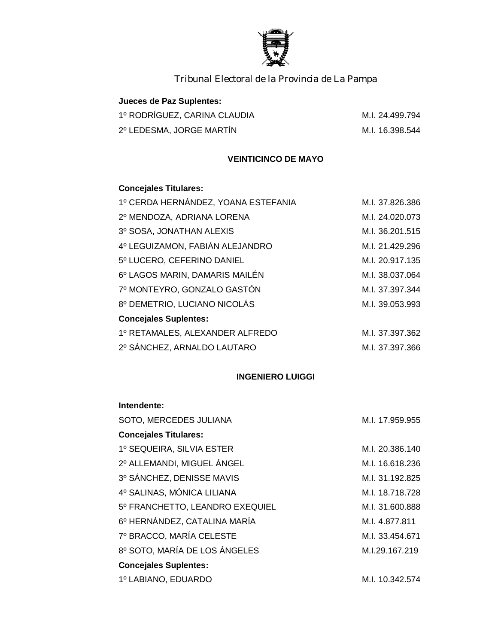

| Jueces de Paz Suplentes:     |                 |
|------------------------------|-----------------|
| 1º RODRÍGUEZ, CARINA CLAUDIA | M.I. 24.499.794 |
| 2º LEDESMA, JORGE MARTÍN     | M.I. 16.398.544 |

## **VEINTICINCO DE MAYO**

## **Concejales Titulares:**

| M.I. 37.826.386 |
|-----------------|
| M.I. 24.020.073 |
| M.I. 36.201.515 |
| M.I. 21.429.296 |
| M.I. 20.917.135 |
| M.I. 38.037.064 |
| M.I. 37.397.344 |
| M.I. 39.053.993 |
|                 |
| M.I. 37.397.362 |
| M.I. 37.397.366 |
|                 |

### **INGENIERO LUIGGI**

#### **Intendente:**

| M.I. 17.959.955 |
|-----------------|
|                 |
| M.I. 20.386.140 |
| M.I. 16.618.236 |
| M.I. 31.192.825 |
| M.I. 18.718.728 |
| M.I. 31.600.888 |
| M.I. 4.877.811  |
| M.I. 33.454.671 |
| M.I.29.167.219  |
|                 |
| M.I. 10.342.574 |
|                 |